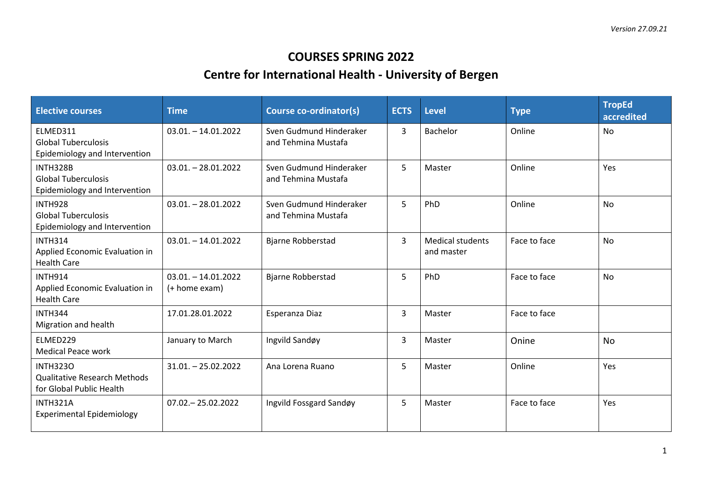## **COURSES SPRING 2022**

## **Centre for International Health - University of Bergen**

| <b>Elective courses</b>                                                            | <b>Time</b>                           | Course co-ordinator(s)                         | <b>ECTS</b> | <b>Level</b>                          | <b>Type</b>  | <b>TropEd</b><br>accredited |
|------------------------------------------------------------------------------------|---------------------------------------|------------------------------------------------|-------------|---------------------------------------|--------------|-----------------------------|
| ELMED311<br><b>Global Tuberculosis</b><br>Epidemiology and Intervention            | $03.01 - 14.01.2022$                  | Sven Gudmund Hinderaker<br>and Tehmina Mustafa | 3           | Bachelor                              | Online       | <b>No</b>                   |
| INTH328B<br><b>Global Tuberculosis</b><br>Epidemiology and Intervention            | $03.01 - 28.01.2022$                  | Sven Gudmund Hinderaker<br>and Tehmina Mustafa | 5           | Master                                | Online       | Yes                         |
| <b>INTH928</b><br><b>Global Tuberculosis</b><br>Epidemiology and Intervention      | $03.01 - 28.01.2022$                  | Sven Gudmund Hinderaker<br>and Tehmina Mustafa | 5           | PhD                                   | Online       | <b>No</b>                   |
| <b>INTH314</b><br>Applied Economic Evaluation in<br><b>Health Care</b>             | $03.01 - 14.01.2022$                  | <b>Bjarne Robberstad</b>                       | 3           | <b>Medical students</b><br>and master | Face to face | <b>No</b>                   |
| <b>INTH914</b><br>Applied Economic Evaluation in<br><b>Health Care</b>             | $03.01 - 14.01.2022$<br>(+ home exam) | <b>Bjarne Robberstad</b>                       | 5           | PhD                                   | Face to face | <b>No</b>                   |
| <b>INTH344</b><br>Migration and health                                             | 17.01.28.01.2022                      | Esperanza Diaz                                 | 3           | Master                                | Face to face |                             |
| ELMED229<br><b>Medical Peace work</b>                                              | January to March                      | Ingvild Sandøy                                 | 3           | Master                                | Onine        | <b>No</b>                   |
| <b>INTH3230</b><br><b>Qualitative Research Methods</b><br>for Global Public Health | $31.01 - 25.02.2022$                  | Ana Lorena Ruano                               | 5           | Master                                | Online       | Yes                         |
| INTH321A<br><b>Experimental Epidemiology</b>                                       | $07.02 - 25.02.2022$                  | Ingvild Fossgard Sandøy                        | 5           | Master                                | Face to face | Yes                         |